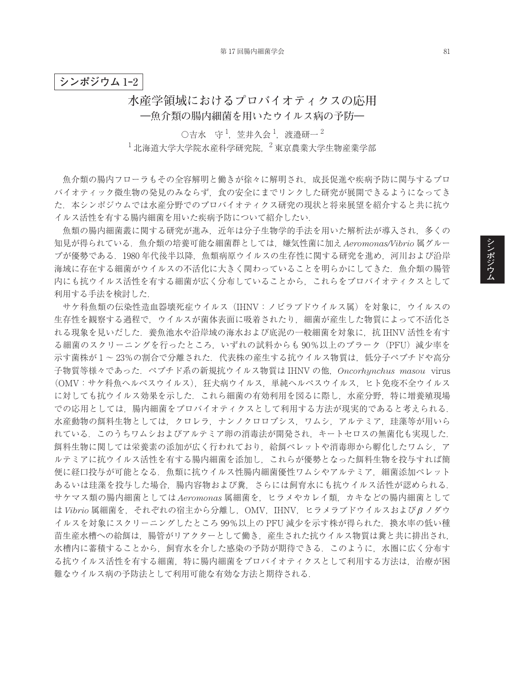## **シンポジウム** 1**‒**2

## **水産学領域におけるプロバイオティクスの応用 ―魚介類の腸内細菌を用いたウイルス病の予防―**

 $\bigcirc$ 吉水 守<sup>1</sup>, 笠井久会<sup>1</sup>, 渡邉研一<sup>2</sup>  $^{-1}$ 北海道大学大学院水産科学研究院,  $^{-2}$ 東京農業大学生物産業学部

魚介類の腸内フローラもその全容解明と働きが徐々に解明され,成長促進や疾病予防に関与するプロ バイオティック微生物の発見のみならず,食の安全にまでリンクした研究が展開できるようになってき た.本シンポジウムでは水産分野でのプロバイオティクス研究の現状と将来展望を紹介すると共に抗ウ イルス活性を有する腸内細菌を用いた疾病予防について紹介したい.

魚類の腸内細菌叢に関する研究が進み,近年は分子生物学的手法を用いた解析法が導入され,多くの 知見が得られている.魚介類の培養可能な細菌群としては,嫌気性菌に加え *Aeromonas/Vibrio* 属グルー プが優勢である.1980 年代後半以降,魚類病原ウイルスの生存性に関する研究を進め,河川および沿岸 海域に存在する細菌がウイルスの不活化に大きく関わっていることを明らかにしてきた.魚介類の腸管 内にも抗ウイルス活性を有する細菌が広く分布していることから,これらをプロバイオティクスとして 利用する手法を検討した.

サケ科魚類の伝染性造血器壊死症ウイルス(IHNV:ノビラブドウイルス属)を対象に,ウイルスの 生存性を観察する過程で,ウイルスが菌体表面に吸着されたり,細菌が産生した物質によって不活化さ れる現象を見いだした.養魚池水や沿岸域の海水および底泥の一般細菌を対象に,抗 IHNV 活性を有す る細菌のスクリーニングを行ったところ, いずれの試料からも 90%以上のプラーク (PFU) 減少率を 示す菌株が1~23%の割合で分離された.代表株の産生する抗ウイルス物質は、低分子ペプチドや高分 子物質等様々であった.ペプチド系の新規抗ウイルス物質は IHNV の他,*Oncorhynchus masou* virus (OMV:サケ科魚ヘルペスウイルス),狂犬病ウイルス,単純ヘルペスウイルス,ヒト免疫不全ウイルス に対しても抗ウイルス効果を示した.これら細菌の有効利用を図るに際し,水産分野,特に増養殖現場 での応用としては,腸内細菌をプロバイオティクスとして利用する方法が現実的であると考えられる. 水産動物の餌料生物としては,クロレラ,ナンノクロロプシス,ワムシ,アルテミア,珪藻等が用いら れている.このうちワムシおよびアルテミア卵の消毒法が開発され,キートセロスの無菌化も実現した. 餌料生物に関しては栄養素の添加が広く行われており,給餌ペレットや消毒卵から孵化したワムシ,ア ルテミアに抗ウイルス活性を有する腸内細菌を添加し,これらが優勢となった餌料生物を投与すれば簡 便に経口投与が可能となる.魚類に抗ウイルス性腸内細菌優性ワムシやアルテミア,細菌添加ペレット あるいは珪藻を投与した場合,腸内容物および糞,さらには飼育水にも抗ウイルス活性が認められる. サケマス類の腸内細菌としては *Aeromonas* 属細菌を,ヒラメやカレイ類,カキなどの腸内細菌として は *Vibrio* 属細菌を,それぞれの宿主から分離し,OMV,IHNV,ヒラメラブドウイルスおよびβ ノダウ イルスを対象にスクリーニングしたところ 99%以上の PFU 減少を示す株が得られた. 換水率の低い種 苗生産水槽への給餌は,腸管がリアクターとして働き,産生された抗ウイルス物質は糞と共に排出され, 水槽内に蓄積することから,飼育水を介した感染の予防が期待できる.このように,水圏に広く分布す る抗ウイルス活性を有する細菌,特に腸内細菌をプロバイオティクスとして利用する方法は,治療が困 難なウイルス病の予防法として利用可能な有効な方法と期待される.